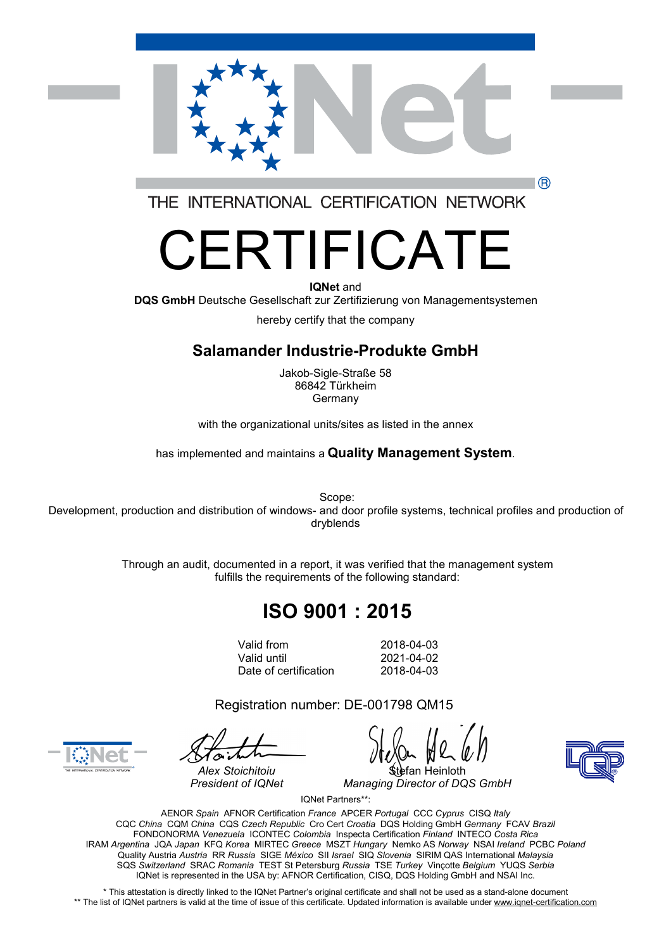

THE INTERNATIONAL CERTIFICATION NETWORK

# FRTIFICATE

#### **IQNet** and

**DQS GmbH** Deutsche Gesellschaft zur Zertifizierung von Managementsystemen

hereby certify that the company

#### **Salamander Industrie-Produkte GmbH**

Jakob-Sigle-Straße 58 86842 Türkheim Germany

with the organizational units/sites as listed in the annex

has implemented and maintains a **Quality Management System**.

Scope: Development, production and distribution of windows- and door profile systems, technical profiles and production of dryblends

> Through an audit, documented in a report, it was verified that the management system fulfills the requirements of the following standard:

# **ISO 9001 : 2015**

Valid from 2018-04-03 Valid until 2021-04-02 Date of certification 2018-04-03

Registration number: DE-001798 QM15



*Alex Stoichitoiu* Stefan Heinloth *President of IQNet Managing Director of DQS GmbH*

IQNet Partners\*\*:

AENOR *Spain* AFNOR Certification *France* APCER *Portugal* CCC *Cyprus* CISQ *Italy* CQC *China* CQM *China* CQS *Czech Republic* Cro Cert *Croatia* DQS Holding GmbH *Germany* FCAV *Brazil* FONDONORMA *Venezuela* ICONTEC *Colombia* Inspecta Certification *Finland* INTECO *Costa Rica* IRAM *Argentina* JQA *Japan* KFQ *Korea* MIRTEC *Greece* MSZT *Hungary* Nemko AS *Norway* NSAI *Ireland* PCBC *Poland* Quality Austria *Austria* RR *Russia* SIGE *México* SII *Israel* SIQ *Slovenia* SIRIM QAS International *Malaysia* SQS *Switzerland* SRAC *Romania* TEST St Petersburg *Russia* TSE *Turkey* Vinçotte *Belgium* YUQS *Serbia* IQNet is represented in the USA by: AFNOR Certification, CISQ, DQS Holding GmbH and NSAI Inc.

\* This attestation is directly linked to the IQNet Partner's original certificate and shall not be used as a stand-alone document \*\* The list of IQNet partners is valid at the time of issue of this certificate. Updated information is available under [www.iqnet-certification.com](http://www.iqnet-certification.com)